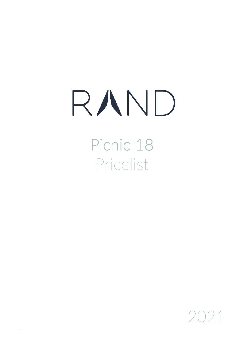## RAND

Picnic 18 Pricelist

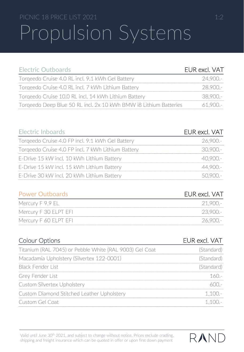## PICNIC 18 PRICE LIST 2021 1:2 Propulsion Systems

| <b>Electric Outboards</b>                                         | EUR excl. VAT |
|-------------------------------------------------------------------|---------------|
| Torgeedo Cruise 4.0 RL incl. 9.1 kWh Gel Battery                  | $24.900 -$    |
| Torgeedo Cruise 4.0 RL incl. 7 kWh Lithium Battery                | $28.900 -$    |
| Torgeedo Cruise 10.0 RL incl. 14 kWh Lithium Battery              | 38.900 .-     |
| Torgeedo Deep Blue 50 RL incl. 2x 10 kWh BMW i8 Lithium Batteries | $61.900 -$    |

| <b>Electric Inboards</b>                           | EUR excl. VAT |
|----------------------------------------------------|---------------|
| Torgeedo Cruise 4.0 FP incl. 9.1 kWh Gel Battery   | 26,900.-      |
| Torgeedo Cruise 4.0 FP incl. 7 kWh Lithium Battery | 30.900 -      |
| E-Drive 15 kW incl. 10 kWh Lithium Battery         | 40.900.-      |
| E-Drive 15 kW incl. 15 kWh Lithium Battery         | $44.900 -$    |
| E-Drive 30 kW incl. 20 kWh Lithium Battery         | $5()9()() =$  |

| <b>Power Outboards</b> |  |  |
|------------------------|--|--|
|                        |  |  |
|                        |  |  |

| Mercury F 9.9 EL .     | $21.900 -$ |
|------------------------|------------|
| Mercury F 30 ELPT EFI- | -23.900.-  |
| Mercury F 60 ELPT EFI- | -26.900.-  |

| <b>Colour Options</b>                                   | EUR excl. VAT  |
|---------------------------------------------------------|----------------|
| Titanium (RAL 7045) or Pebble White (RAL 9003) Gel Coat | (Standard)     |
| Macadamia Upholstery (Silvertex 122-0001)               | (Standard)     |
| Black Fender List                                       | (Standard)     |
| Grey Fender List                                        | 160 -          |
| Custom Silvertex Upholstery                             | 600 -          |
| Custom Diamond Stitched Leather Upholstery              | 1 1 $\Omega$ - |
| Custom Gel Coat                                         | $1.100 -$      |

Valid until June 30<sup>th</sup> 2021, and subject to change without notice. Prices exclude cradling, shipping and freight insurance which can be quoted in offer or upon first down payment



**EUR excl. VAT**